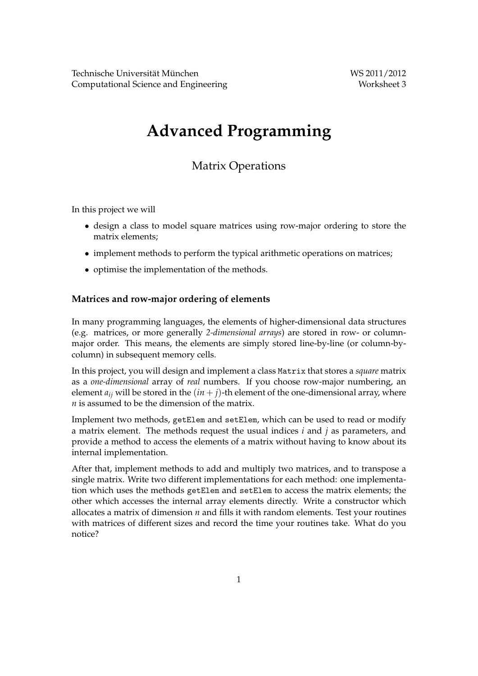# **Advanced Programming**

# Matrix Operations

In this project we will

- design a class to model square matrices using row-major ordering to store the matrix elements;
- implement methods to perform the typical arithmetic operations on matrices;
- optimise the implementation of the methods.

#### **Matrices and row-major ordering of elements**

In many programming languages, the elements of higher-dimensional data structures (e.g. matrices, or more generally *2-dimensional arrays*) are stored in row- or columnmajor order. This means, the elements are simply stored line-by-line (or column-bycolumn) in subsequent memory cells.

In this project, you will design and implement a class Matrix that stores a *square* matrix as a *one-dimensional* array of *real* numbers. If you choose row-major numbering, an element  $a_{ij}$  will be stored in the  $(in + j)$ -th element of the one-dimensional array, where *n* is assumed to be the dimension of the matrix.

Implement two methods, getElem and setElem, which can be used to read or modify a matrix element. The methods request the usual indices *i* and *j* as parameters, and provide a method to access the elements of a matrix without having to know about its internal implementation.

After that, implement methods to add and multiply two matrices, and to transpose a single matrix. Write two different implementations for each method: one implementation which uses the methods getElem and setElem to access the matrix elements; the other which accesses the internal array elements directly. Write a constructor which allocates a matrix of dimension *n* and fills it with random elements. Test your routines with matrices of different sizes and record the time your routines take. What do you notice?